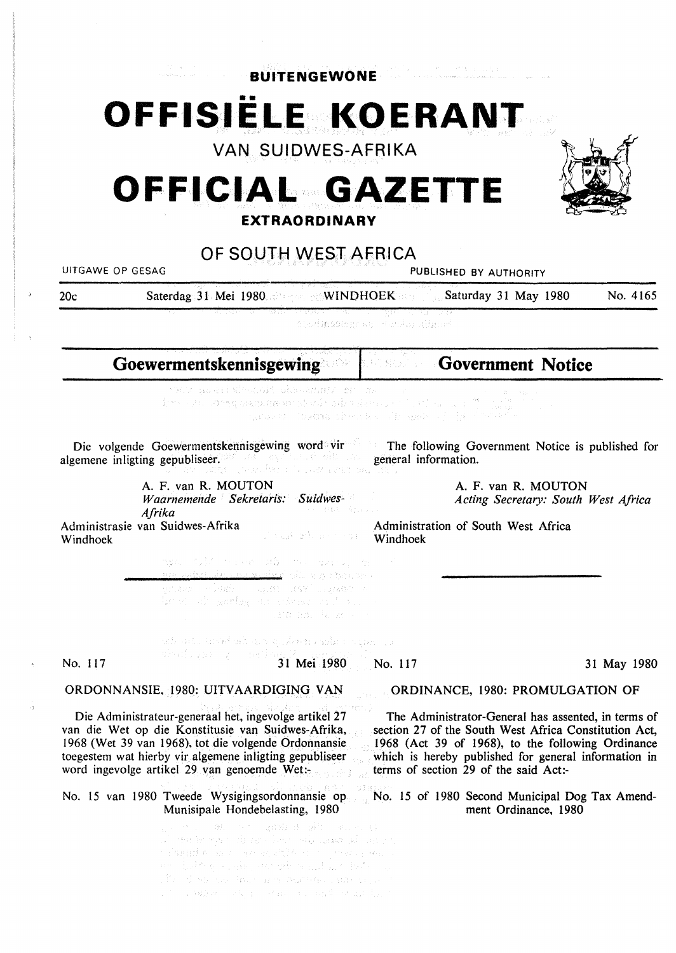**BUITENGEWONE** 

# •• **OFFISIELE KOERANT**

**VAN SUIDWES-AFRIKA** 

# **OFFICIAL EXTRAORDINARY**  GAZETTE



# **OF SOUTH WEST AFRICA**

UITGAWE OP GESAG **PUBLISHED BY AUTHORITY** 

20c Saterdag 31 Mei 1980 WINDHOEK Saturday 31 May 1980 No. 4165

studinaakansa Humbu alinad

**Goewermentskennisgewing**  ar sali **Government Notice** 

> wa matifoari dasang/ sr as beside to consequent entered with the service of the first service esus em entre al vez completa de la lecce de la decesió<br>Espace o l'ob<mark>abim</mark> de entre la del moste del dipolente el

Die volgende Goewermentskennisgewing word vir algemene inligting gepubliseer. The following Government Notice is published for general information.

A. F. van **R. MOUTON**  *Waarnemende Sekretaris: Suidwes-Afrika*  Administrasie van Suidwes-Afrika

A. F. van R. MOUTON *Acting Secretary: South West Africa* 

Administration of South West Africa Windhoek

nga tuli neran dibi ne sarra, dr saked plump protection grume - Sanh - Squan (1897), Igason - L in de alemania de la construcción. Leta mal (4, let

Windhoek

นเข้า อย่าง แต่สะไวเป้า และสมเพียะชน จะได้กว่า น่าจะการเจ No. 117 **31 Mei 1980** 

In astrochuse e comp

No. 117 31 May 1980

ORDONNANSIE, 1980: UITVAARDIGING VAN

Die Administrateur-generaal het, ingevolge artikel 27 van die Wet op die Konstitusie van Suidwes-Afrika, 1968 (Wet 39 van 1968), tot die volgende Ordonnansie toegestem wat hierby vir algemene inligting gepubliseer word ingevolge artikel 29 van genoemde Wet:-

No. 15 van 1980 Tweede Wysigingsordonnansie op No. 15 of 1980 Second Municipal Dog Tax Amend-Munisipale Hondebelasting, 1980

> gawe a sin su sung  $\langle v_{\rm eff} \rangle$ are repositions four side and of some orland a branche and the compression of and the second complete the second but of the second second second second second second second second second second second second second second second second second second second second second second second second second s The development are administratively and 后, 3428 (1940) (不通) (1940) (1945) (4.12) (197

#### ORDINANCE, 1980: PROMULGATION OF

The Administrator-General has assented, in terms of section 27 of the South West Africa Constitution Act, 1968 (Act 39 of 1968), to the following Ordinance which is hereby published for general information in terms of section 29 of the said Act:-

ment Ordinance, 1980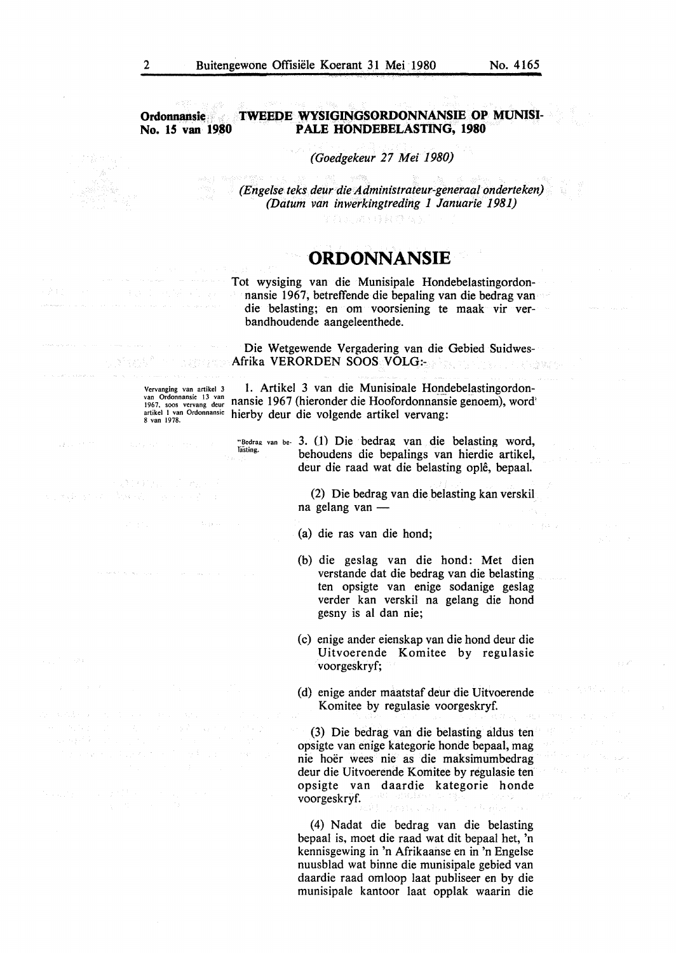#### **Ordonnansie METWEEDE WYSIGINGSORDONNANSIE OP MUNISI-No. 15 van 19,80 PALE HONDEBELASTING, 1980**

*(Goedgekeur 27 Mei 1980)* 

*(Engelse teks deur die Administrateur-generaal onderteken) (Datum van inwerkingtreding 1 Januarie 1981)* 

# **·ORDONNANSIE**

Film Redal Orad

Tot wysiging van die Munisipale Hondebelastingordonnansie 1967, betreffende die bepaling van die bedrag van die belasting; en om voorsiening te maak vir verbandhoudende aangeleenthede.

Die Wetgewende Vergadering van die Gebied Suidwes-**Afrika VERORDEN SOOS VOLG:** 

Vcrvanging van artikel 3 van Ordonnansie 13 van<br>1967, soos vervang deur<br>artikel 1 van Ordonnansie<br>8 van 1978.

Sternel November

1. Artikel 3 van die Munisipale Hondebelastingordonnansie 1967 (hieronder die Hoofordonnansie genoem), word' hierby deur die volgende artikel vervang:

"Bedrag van be- 3. (1) Die bedrag van die belasting word, behoudens die bepalings van hierdie artikel, deur die raad wat die belasting ople, bepaal.

> (2) Die bedrag van die belasting kan verskil na gelang van -

(a) die ras van die bond;

- (b) die geslag van die bond: Met dien verstande dat die bedrag van die belasting ten opsigte van enige sodanige geslag verder kan verskil na gelang die bond gesny is al dan nie;
- (c) enige ander eienskap van die bond deur die Uitvoerende Komitee by regulasie voorgeskryf;
- (d) enige ander maatstaf deur die Uitvoerende Komitee by regulasie voorgeskryf.

(3) Die bedrag van die belasting aldus ten opsigte van enige kategorie bonde bepaal, mag nie hoer wees nie as die maksimumbedrag deur die Uitvoerende Komitee by regulasie ten opsigte van daardie kategorie bonde voorgeskryf.

(4) Nadat die bedrag van die belasting bepaal is, moet die raad wat dit bepaal het, 'n kennisgewing in 'n Afrikaanse en in 'n Engelse nuusblad wat binne die munisipale gebied van daardie raad omloop laat publiseer en by die munisipale kantoor laat opplak waarin die

医肾炎 医内脏的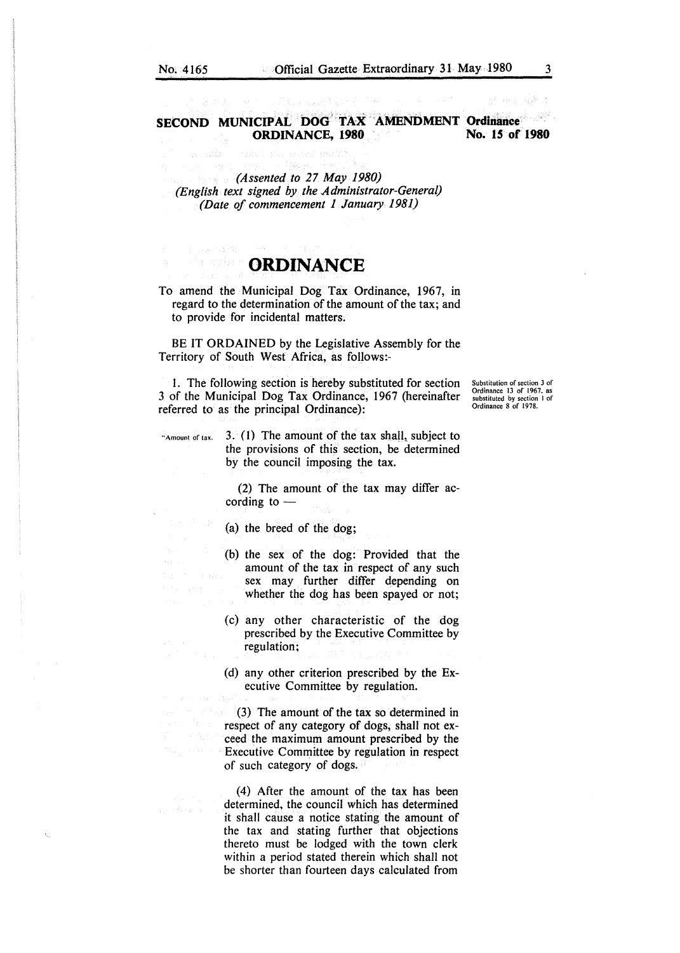## **SECOND MUNICIPAL DOG TAX AMENDMENT Ordinance ORDINANCE.** 1980 No. 15 of 1980 **ORDINANCE, 1980**

*(Assented to 27 May 1980) (English text signed by the Administrator-General) (Date of commencement 1 January 1981)* 

i<br>Veliko

# **ORDINANCE**

To amend the Municipal Dog Tax Ordinance, 1967, in regard to the determination of the amount of the tax; and to provide for incidental matters.

BE IT **ORDAINED** by the Legislative Assembly for the Territory of South West Africa, as follows:-

1. The following section is hereby substituted for section 3 of the Municipal Dog Tax Ordinance, 1967 (hereinafter referred to as the principal Ordinance):

Substitution of section 3 of Ordinance 13 of 1967. as substituted by section I of Ordinance 8 of 1978.

"Amount of tax. 3. *(* 1) The amount of the tax shall, subject to the provisions of this section, be determined by the council imposing the tax.

> (2) The amount of the tax may differ according to  $-$

(a) the breed of the dog;

- (b) the sex of the dog: Provided that the amount of the tax in respect of any such sex may further differ depending on whether the dog has been spayed or not;
- (c) any other characteristic of the dog prescribed by the Executive Committee by regulation;
- (d) any other criterion prescribed by the Executive Committee by regulation.

(3) The amount of the tax so determined in respect of any category of dogs, shall not exceed the maximum amount prescribed by the Executive Committee by regulation in respect of such category of dogs.

(4) After the amount of the tax has been determined, the council which has determined it shall cause a notice stating the amount of the tax and stating further that objections thereto must be lodged with the town clerk within a period stated therein which shall not be shorter than fourteen days calculated from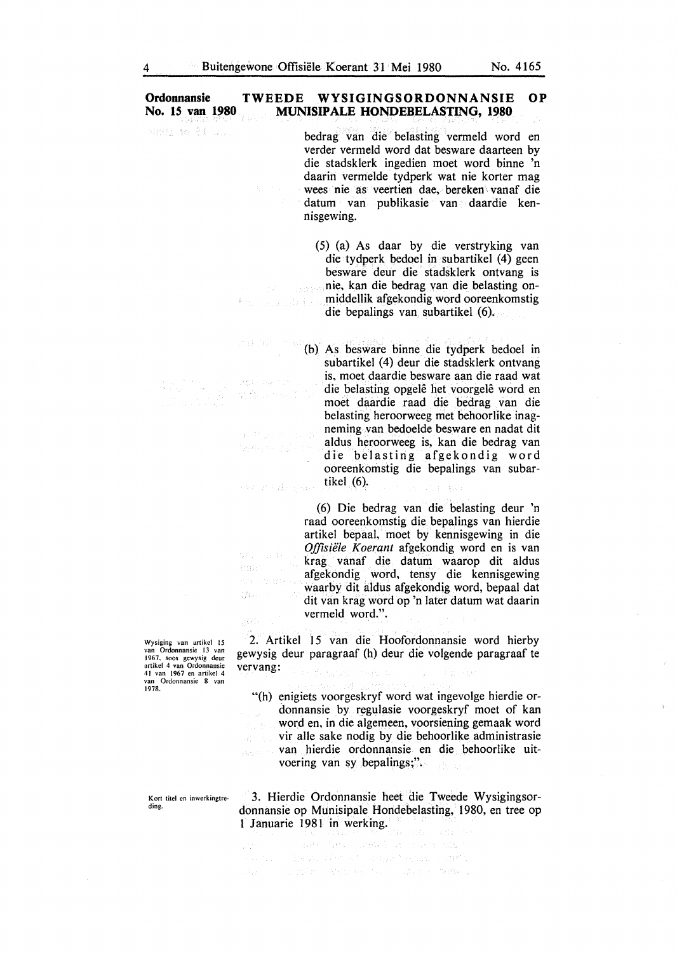#### Ordonnansie TWEEDE WYSIGINGSORDONNANSIE OP<br>No. 15 van 1980 MUNISIPALE HONDEBELASTING. 1980 **MUNISIPALE HONDEBELASTING, 1980**

verdi me 21 uni

end kilometer المتعارف ولأخلص

we actably at

 $\mathbb{Z}_2$  is

3103331

170E

362

bedrag van die belasting vermeld word en verder vermeld word dat besware daarteen by die stadsklerk ingedien moet word binne 'n daarin vermelde tydperk wat nie korter mag wees nie as veertien dae, bereken vanaf die datum van publikasie van daardie kennisgewing.

(5) (a) As daar by die verstryking van die tydperk bedoel in subartikel (4) geen besware deur die stadsklerk ontvang is nie, kan die bedrag van die belasting onmiddellik afgekondig word ooreenkomstig Encoupled En die bepalings van subartikel (6).

(b) As besware binne die tydperk bedoel in subartikel (4) deur die stadsklerk ontvang is, moet daardie besware aan die raad wat die belasting opgelê het voorgelê word en moet daardie raad die bedrag van die belasting beroorweeg met beboorlike inagneming van bedoelde besware en nadat dit guidency of the state aldus beroorweeg is, kan die bedrag van die belasting afgekondig word ooreenkomstig die bepalings van subartikel (6). man gib

> ( 6) Die bed rag van die belasting deur 'n raad ooreenkomstig die bepalings van hierdie artikel bepaal, moet by kennisgewing in die *Offisii!le Koerant* afgekondig word en is van krag vanaf die datum waarop dit aldus afgekondig word, tensy die kennisgewing waarby dit aldus afgekondig word, bepaal dat dit van krag word op 'n later datum wat daarin vermeld word.".

2. Artikel 15 van die Hoofordonnansie word bierby gewysig deur paragraaf (b) deur die volgende paragraaf te vervang:

"(h) enigiets voorgeskryf word wat ingevolge bierdie ordonnansie by regulasie voorgeskryf moet of kan word en, in die algemeen, voorsiening gemaak word vir alle sake nodig by die behoorlike administrasie van hierdie ordonnansie en die beboorlike uit-Version in voering van sy bepalings;".

3. Hierdie Ordonnansie beet die Tweede Wysigingsordonnansie op Munisipale Hondebelasting, 1980, en tree op 1 Januarie 1981 in werking. r.

 $\mathcal{L} \mathcal{M}^{\text{L}} \left( \mathcal{E}(\mathcal{A}) \right) = \mathcal{W} \left( \frac{1}{2} \mathcal{A} \mathcal{R} \right) \mathcal{H} \left( \mathcal{A} \right) \left( \mathcal{A} \right) \mathcal{H} \left( \mathcal{A} \right)$ sources - Eagle New of Castle Faction of diffi-最好的 (Sec. 212) Pro Apple to the Compact of Territory &

Wysiging van artikcl 15 **van Ordonnansie 13 van**  1967. soos gewysig deur **artikel 4 van Ordonnansie**  41 van 1967 en artikel 4 **van Ordonnansie 8 van**  1978.

**Kort titel en inwerkingtre~**  ding.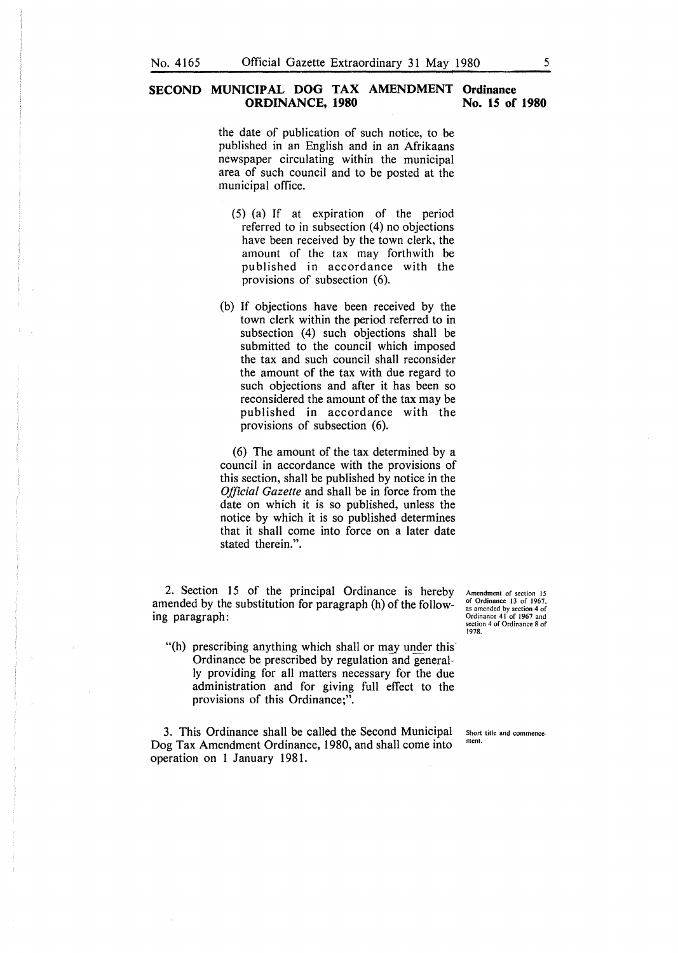### **SECOND MUNICIPAL DOG TAX AMENDMENT Ordinance ORDINANCE, 1980** No. 15 of 1980

the date of publication of such notice, to be published in an English and in an Afrikaans newspaper circulating within the municipal area of such council and to be posted at the municipal office.

- (5) (a) If at expiration of the period referred to in subsection (4) no objections have been received by the town clerk, the amount of the tax may forthwith be published in accordance with the provisions of subsection (6).
- (b) If objections have been received by the town clerk within the period referred to in subsection (4) such objections shall be submitted to the council which imposed the tax and such council shall reconsider the amount of the tax with due regard to such objections and after it has been so reconsidered the amount of the tax may be published in accordance with the provisions of subsection (6).

(6) The amount of the tax determined by a council in accordance with the provisions of this section, shall be published by notice in the *Official Gazette* and shall be in force from the date on which it is so published, unless the notice by which it is so published determines that it shall come into force on a later date stated therein.".

2. Section 15 of the principal Ordinance is hereby amended by the substitution for paragraph (h) of the following paragraph:

"(h) prescribing anything which shall or may under this Ordinance be prescribed by regulation and generally providing for all matters necessary for the due administration and for giving full effect to the provisions of this Ordinance;".

3. This Ordinance shall be called the Second Municipal Dog Tax Amendment Ordinance, 1980, and shall come into operation on 1 January 1981.

**Amendment of section 15**  of Ordinance 13 of 1967, **as amended by section 4 of**  Ordinance 41 of 1967 and section 4 of Ordinance 8 of 1978.

Short title and commence**ment.**